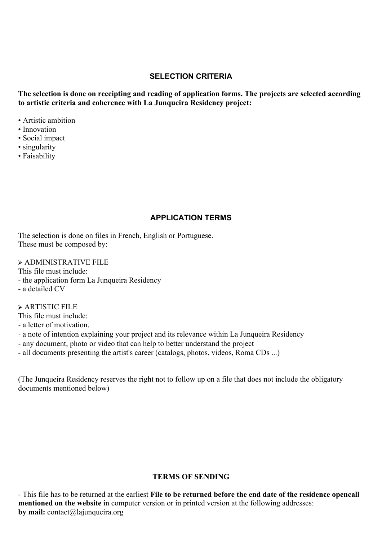## **SELECTION CRITERIA**

**The selection is done on receipting and reading of application forms. The projects are selected according to artistic criteria and coherence with La Junqueira Residency project:**

- Artistic ambition
- Innovation
- Social impact
- singularity
- Faisability

### **APPLICATION TERMS**

The selection is done on files in French, English or Portuguese. These must be composed by:

➢ ADMINISTRATIVE FILE

This file must include:

- the application form La Junqueira Residency

- a detailed CV

➢ ARTISTIC FILE

This file must include:

- a letter of motivation,
- a note of intention explaining your project and its relevance within La Junqueira Residency
- any document, photo or video that can help to better understand the project
- all documents presenting the artist's career (catalogs, photos, videos, Roma CDs ...)

(The Junqueira Residency reserves the right not to follow up on a file that does not include the obligatory documents mentioned below)

### **TERMS OF SENDING**

- This file has to be returned at the earliest **File to be returned before the end date of the residence opencall mentioned on the website** in computer version or in printed version at the following addresses: **by mail:** contact@lajunqueira.org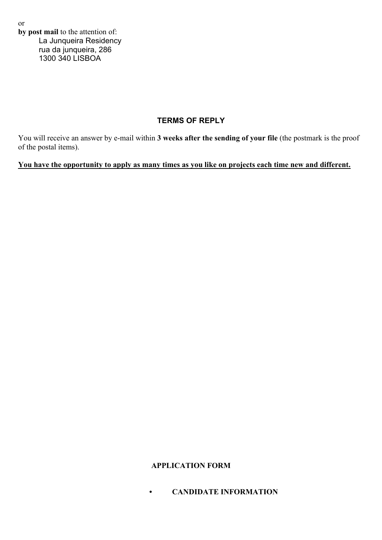or **by post mail** to the attention of: La Junqueira Residency rua da junqueira, 286 1300 340 LISBOA

## **TERMS OF REPLY**

You will receive an answer by e-mail within **3 weeks after the sending of your file** (the postmark is the proof of the postal items).

## **You have the opportunity to apply as many times as you like on projects each time new and different.**

## **APPLICATION FORM**

**• CANDIDATE INFORMATION**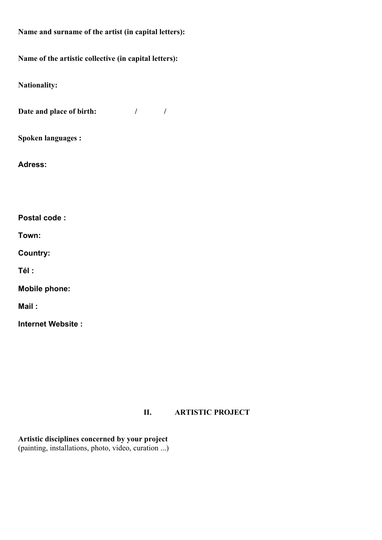**Name and surname of the artist (in capital letters):**

**Name of the artistic collective (in capital letters):**

**Nationality:**

**Date and place of birth:** / / /

**Spoken languages :**

**Adress:** 

**Postal code :**

**Town:**

**Country:**

**Tél :**

**Mobile phone:**

**Mail :**

**Internet Website :** 

## **II. ARTISTIC PROJECT**

**Artistic disciplines concerned by your project**  (painting, installations, photo, video, curation ...)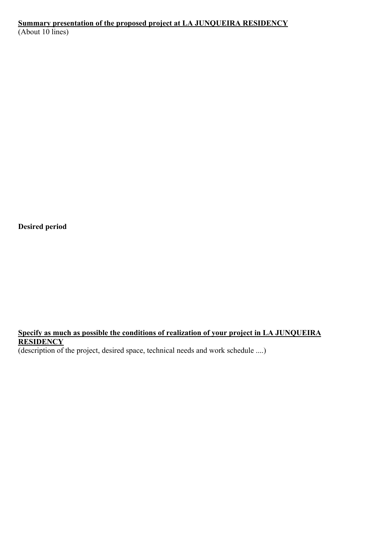# **Summary presentation of the proposed project at LA JUNQUEIRA RESIDENCY**

(About 10 lines)

**Desired period**

## **Specify as much as possible the conditions of realization of your project in LA JUNQUEIRA RESIDENCY**

(description of the project, desired space, technical needs and work schedule ....)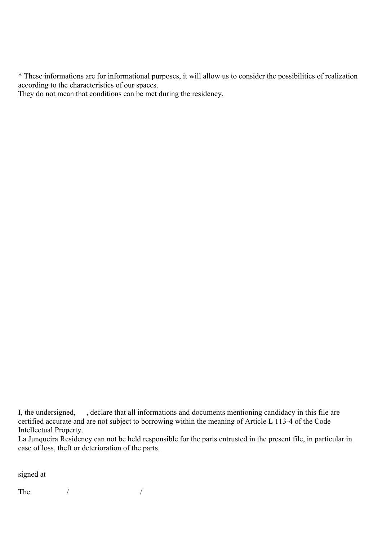\* These informations are for informational purposes, it will allow us to consider the possibilities of realization according to the characteristics of our spaces.

They do not mean that conditions can be met during the residency.

signed at

The  $/$ 

I, the undersigned, , declare that all informations and documents mentioning candidacy in this file are certified accurate and are not subject to borrowing within the meaning of Article L 113-4 of the Code Intellectual Property.

La Junqueira Residency can not be held responsible for the parts entrusted in the present file, in particular in case of loss, theft or deterioration of the parts.